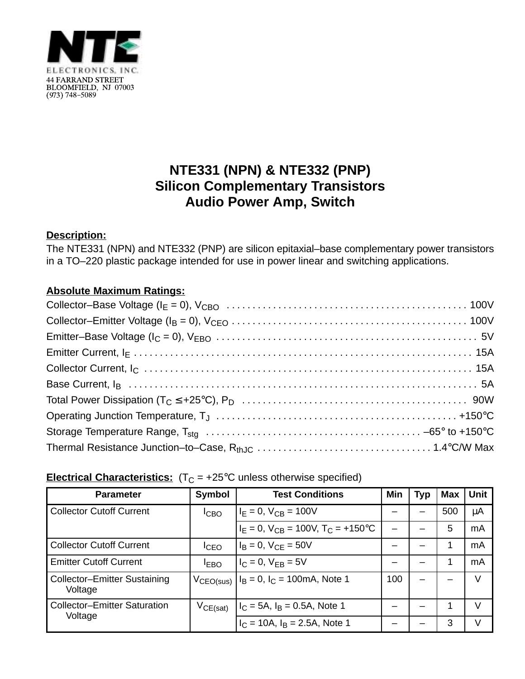

## **NTE331 (NPN) & NTE332 (PNP) Silicon Complementary Transistors Audio Power Amp, Switch**

## **Description:**

The NTE331 (NPN) and NTE332 (PNP) are silicon epitaxial–base complementary power transistors in a TO–220 plastic package intended for use in power linear and switching applications.

## **Absolute Maximum Ratings:**

## **Electrical Characteristics:**  $(T_C = +25^{\circ}C$  unless otherwise specified)

| <b>Parameter</b>                               | <b>Symbol</b>         | <b>Test Conditions</b>                              | Min | Typ | Max | <b>Unit</b> |
|------------------------------------------------|-----------------------|-----------------------------------------------------|-----|-----|-----|-------------|
| <b>Collector Cutoff Current</b>                | <b>ICBO</b>           | $I_F = 0$ , $V_{CB} = 100V$                         |     |     | 500 | μA          |
|                                                |                       | $I_F = 0$ , $V_{CB} = 100V$ , $T_C = +150^{\circ}C$ |     |     | 5   | mA          |
| <b>Collector Cutoff Current</b>                | ICEO                  | $I_B = 0$ , $V_{CF} = 50V$                          |     |     |     | mA          |
| <b>Emitter Cutoff Current</b>                  | <b>IEBO</b>           | $I_C = 0$ , $V_{FB} = 5V$                           |     |     |     | mA          |
| <b>Collector-Emitter Sustaining</b><br>Voltage | V <sub>CEO(sus)</sub> | $I_B = 0$ , $I_C = 100 \text{mA}$ , Note 1          | 100 |     |     | V           |
| <b>Collector-Emitter Saturation</b><br>Voltage | $V_{CE(sat)}$         | $I_C = 5A$ , $I_B = 0.5A$ , Note 1                  |     |     |     | V           |
|                                                |                       | $I_C = 10A$ , $I_B = 2.5A$ , Note 1                 |     |     | 3   | V           |